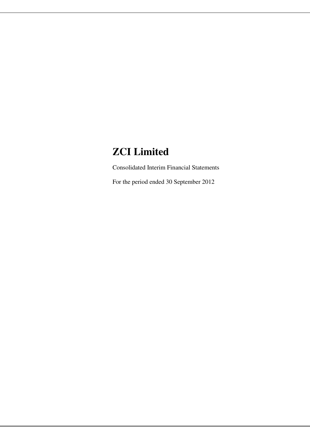# **ZCI Limited**

Consolidated Interim Financial Statements

For the period ended 30 September 2012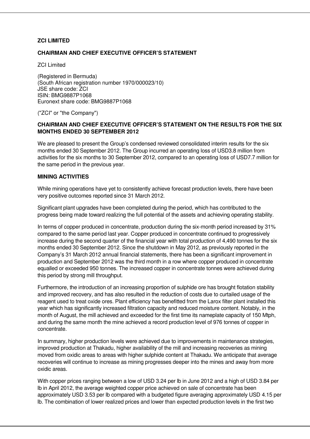## **ZCI LIMITED**

## **CHAIRMAN AND CHIEF EXECUTIVE OFFICER'S STATEMENT**

ZCI Limited

(Registered in Bermuda) (South African registration number 1970/000023/10) JSE share code: ZCI ISIN: BMG9887P1068 Euronext share code: BMG9887P1068

("ZCI" or "the Company")

# **CHAIRMAN AND CHIEF EXECUTIVE OFFICER'S STATEMENT ON THE RESULTS FOR THE SIX MONTHS ENDED 30 SEPTEMBER 2012**

We are pleased to present the Group's condensed reviewed consolidated interim results for the six months ended 30 September 2012. The Group incurred an operating loss of USD3.8 million from activities for the six months to 30 September 2012, compared to an operating loss of USD7.7 million for the same period in the previous year.

### **MINING ACTIVITIES**

While mining operations have yet to consistently achieve forecast production levels, there have been very positive outcomes reported since 31 March 2012.

Significant plant upgrades have been completed during the period, which has contributed to the progress being made toward realizing the full potential of the assets and achieving operating stability.

In terms of copper produced in concentrate, production during the six-month period increased by 31% compared to the same period last year. Copper produced in concentrate continued to progressively increase during the second quarter of the financial year with total production of 4,490 tonnes for the six months ended 30 September 2012. Since the shutdown in May 2012, as previously reported in the Company's 31 March 2012 annual financial statements, there has been a significant improvement in production and September 2012 was the third month in a row where copper produced in concentrate equalled or exceeded 950 tonnes. The increased copper in concentrate tonnes were achieved during this period by strong mill throughput.

Furthermore, the introduction of an increasing proportion of sulphide ore has brought flotation stability and improved recovery, and has also resulted in the reduction of costs due to curtailed usage of the reagent used to treat oxide ores. Plant efficiency has benefitted from the Larox filter plant installed this year which has significantly increased filtration capacity and reduced moisture content. Notably, in the month of August, the mill achieved and exceeded for the first time its nameplate capacity of 150 Mtph, and during the same month the mine achieved a record production level of 976 tonnes of copper in concentrate.

In summary, higher production levels were achieved due to improvements in maintenance strategies, improved production at Thakadu, higher availability of the mill and increasing recoveries as mining moved from oxidic areas to areas with higher sulphide content at Thakadu. We anticipate that average recoveries will continue to increase as mining progresses deeper into the mines and away from more oxidic areas.

With copper prices ranging between a low of USD 3.24 per lb in June 2012 and a high of USD 3.84 per lb in April 2012, the average weighted copper price achieved on sale of concentrate has been approximately USD 3.53 per lb compared with a budgeted figure averaging approximately USD 4.15 per lb. The combination of lower realized prices and lower than expected production levels in the first two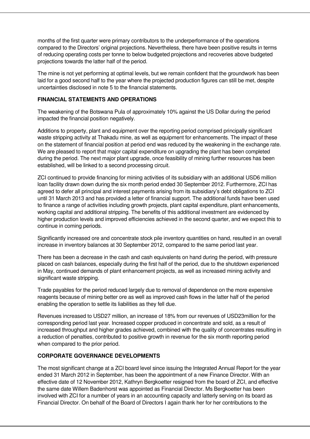months of the first quarter were primary contributors to the underperformance of the operations compared to the Directors' original projections. Nevertheless, there have been positive results in terms of reducing operating costs per tonne to below budgeted projections and recoveries above budgeted projections towards the latter half of the period.

The mine is not yet performing at optimal levels, but we remain confident that the groundwork has been laid for a good second half to the year where the projected production figures can still be met, despite uncertainties disclosed in note 5 to the financial statements.

## **FINANCIAL STATEMENTS AND OPERATIONS**

The weakening of the Botswana Pula of approximately 10% against the US Dollar during the period impacted the financial position negatively.

Additions to property, plant and equipment over the reporting period comprised principally significant waste stripping activity at Thakadu mine, as well as equipment for enhancements. The impact of these on the statement of financial position at period end was reduced by the weakening in the exchange rate. We are pleased to report that major capital expenditure on upgrading the plant has been completed during the period. The next major plant upgrade, once feasibility of mining further resources has been established, will be linked to a second processing circuit.

ZCI continued to provide financing for mining activities of its subsidiary with an additional USD6 million loan facility drawn down during the six month period ended 30 September 2012. Furthermore, ZCI has agreed to defer all principal and interest payments arising from its subsidiary's debt obligations to ZCI until 31 March 2013 and has provided a letter of financial support. The additional funds have been used to finance a range of activities including growth projects, plant capital expenditure, plant enhancements, working capital and additional stripping. The benefits of this additional investment are evidenced by higher production levels and improved efficiencies achieved in the second quarter, and we expect this to continue in coming periods.

Significantly increased ore and concentrate stock pile inventory quantities on hand, resulted in an overall increase in inventory balances at 30 September 2012, compared to the same period last year.

There has been a decrease in the cash and cash equivalents on hand during the period, with pressure placed on cash balances, especially during the first half of the period, due to the shutdown experienced in May, continued demands of plant enhancement projects, as well as increased mining activity and significant waste stripping.

Trade payables for the period reduced largely due to removal of dependence on the more expensive reagents because of mining better ore as well as improved cash flows in the latter half of the period enabling the operation to settle its liabilities as they fell due.

Revenues increased to USD27 million, an increase of 18% from our revenues of USD23million for the corresponding period last year. Increased copper produced in concentrate and sold, as a result of increased throughput and higher grades achieved, combined with the quality of concentrates resulting in a reduction of penalties, contributed to positive growth in revenue for the six month reporting period when compared to the prior period.

## **CORPORATE GOVERNANCE DEVELOPMENTS**

The most significant change at a ZCI board level since issuing the Integrated Annual Report for the year ended 31 March 2012 in September, has been the appointment of a new Finance Director. With an effective date of 12 November 2012, Kathryn Bergkoetter resigned from the board of ZCI, and effective the same date Willem Badenhorst was appointed as Financial Director. Ms Bergkoetter has been involved with ZCI for a number of years in an accounting capacity and latterly serving on its board as Financial Director. On behalf of the Board of Directors I again thank her for her contributions to the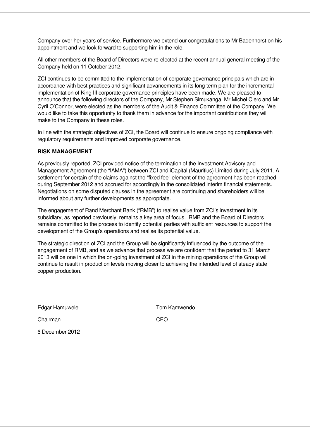Company over her years of service. Furthermore we extend our congratulations to Mr Badenhorst on his appointment and we look forward to supporting him in the role.

All other members of the Board of Directors were re-elected at the recent annual general meeting of the Company held on 11 October 2012.

ZCI continues to be committed to the implementation of corporate governance principals which are in accordance with best practices and significant advancements in its long term plan for the incremental implementation of King III corporate governance principles have been made. We are pleased to announce that the following directors of the Company, Mr Stephen Simukanga, Mr Michel Clerc and Mr Cyril O'Connor, were elected as the members of the Audit & Finance Committee of the Company. We would like to take this opportunity to thank them in advance for the important contributions they will make to the Company in these roles.

In line with the strategic objectives of ZCI, the Board will continue to ensure ongoing compliance with regulatory requirements and improved corporate governance.

#### **RISK MANAGEMENT**

As previously reported, ZCI provided notice of the termination of the Investment Advisory and Management Agreement (the "IAMA") between ZCI and iCapital (Mauritius) Limited during July 2011. A settlement for certain of the claims against the "fixed fee" element of the agreement has been reached during September 2012 and accrued for accordingly in the consolidated interim financial statements. Negotiations on some disputed clauses in the agreement are continuing and shareholders will be informed about any further developments as appropriate.

The engagement of Rand Merchant Bank ("RMB") to realise value from ZCI's investment in its subsidiary, as reported previously, remains a key area of focus. RMB and the Board of Directors remains committed to the process to identify potential parties with sufficient resources to support the development of the Group's operations and realise its potential value.

The strategic direction of ZCI and the Group will be significantly influenced by the outcome of the engagement of RMB, and as we advance that process we are confident that the period to 31 March 2013 will be one in which the on-going investment of ZCI in the mining operations of the Group will continue to result in production levels moving closer to achieving the intended level of steady state copper production.

Edgar Hamuwele **Tom Kamwendo** 

Chairman CEO

6 December 2012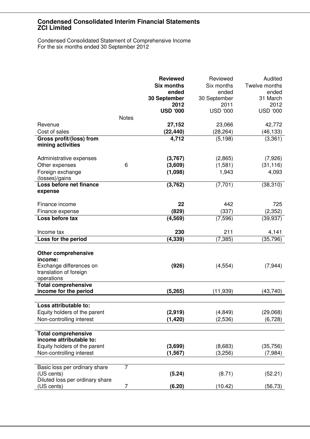Condensed Consolidated Statement of Comprehensive Income For the six months ended 30 September 2012

|                                               |                | <b>Reviewed</b>   | Reviewed                | Audited         |
|-----------------------------------------------|----------------|-------------------|-------------------------|-----------------|
|                                               |                | <b>Six months</b> | Six months              | Twelve months   |
|                                               |                | ended             | ended                   | ended           |
|                                               |                | 30 September      | 30 September            | 31 March        |
|                                               |                | 2012              | 2011<br><b>USD '000</b> | 2012            |
|                                               | <b>Notes</b>   | <b>USD '000</b>   |                         | <b>USD '000</b> |
| Revenue                                       |                | 27,152            | 23,066                  | 42,772          |
| Cost of sales                                 |                | (22, 440)         | (28, 264)               | (46, 133)       |
| Gross profit/(loss) from                      |                | 4,712             | (5, 198)                | (3, 361)        |
| mining activities                             |                |                   |                         |                 |
| Administrative expenses                       |                | (3,767)           | (2,865)                 | (7,926)         |
| Other expenses                                | 6              | (3,609)           | (1,581)                 | (31, 116)       |
| Foreign exchange                              |                | (1,098)           | 1,943                   | 4,093           |
| (losses)/gains                                |                |                   |                         |                 |
| Loss before net finance                       |                | (3,762)           | (7, 701)                | (38, 310)       |
| expense                                       |                |                   |                         |                 |
| Finance income                                |                | 22                | 442                     | 725             |
| Finance expense                               |                | (829)             | (337)                   | (2, 352)        |
| Loss before tax                               |                | (4, 569)          | (7, 596)                | (39, 937)       |
|                                               |                |                   |                         |                 |
| Income tax                                    |                | 230               | 211                     | 4,141           |
| Loss for the period                           |                | (4, 339)          | (7, 385)                | (35, 796)       |
|                                               |                |                   |                         |                 |
| <b>Other comprehensive</b>                    |                |                   |                         |                 |
| income:<br>Exchange differences on            |                | (926)             | (4, 554)                | (7, 944)        |
| translation of foreign                        |                |                   |                         |                 |
| operations                                    |                |                   |                         |                 |
| <b>Total comprehensive</b>                    |                |                   |                         |                 |
| income for the period                         |                | (5, 265)          | (11, 939)               | (43,740)        |
|                                               |                |                   |                         |                 |
| oss attributable to:                          |                |                   |                         |                 |
| Equity holders of the parent                  |                | (2,919)           | (4, 849)                | (29,068)        |
| Non-controlling interest                      |                | (1, 420)          | (2,536)                 | (6, 728)        |
| <b>Total comprehensive</b>                    |                |                   |                         |                 |
| income attributable to:                       |                |                   |                         |                 |
| Equity holders of the parent                  |                | (3,699)           | (8,683)                 | (35, 756)       |
| Non-controlling interest                      |                | (1, 567)          | (3,256)                 | (7,984)         |
|                                               |                |                   |                         |                 |
| Basic loss per ordinary share                 | $\overline{7}$ |                   |                         |                 |
| (US cents)                                    |                | (5.24)            | (8.71)                  | (52.21)         |
| Diluted loss per ordinary share<br>(US cents) | 7              |                   |                         |                 |
|                                               |                | (6.20)            | (10.42)                 | (56, 73)        |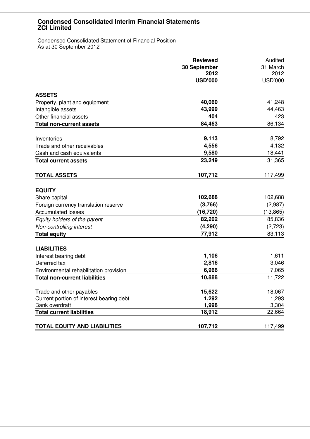Condensed Consolidated Statement of Financial Position As at 30 September 2012

|                                          | <b>Reviewed</b> | Audited        |  |
|------------------------------------------|-----------------|----------------|--|
|                                          | 30 September    | 31 March       |  |
|                                          | 2012            | 2012           |  |
|                                          | <b>USD'000</b>  | <b>USD'000</b> |  |
| <b>ASSETS</b>                            |                 |                |  |
| Property, plant and equipment            | 40,060          | 41,248         |  |
| Intangible assets                        | 43,999          | 44,463         |  |
| Other financial assets                   | 404             | 423            |  |
| <b>Total non-current assets</b>          | 84,463          | 86,134         |  |
| Inventories                              | 9,113           | 8,792          |  |
| Trade and other receivables              | 4,556           | 4,132          |  |
| Cash and cash equivalents                | 9,580           | 18,441         |  |
| <b>Total current assets</b>              | 23,249          | 31,365         |  |
| <b>TOTAL ASSETS</b>                      | 107,712         | 117,499        |  |
| <b>EQUITY</b>                            |                 |                |  |
| Share capital                            | 102,688         | 102,688        |  |
| Foreign currency translation reserve     | (3,766)         | (2,987)        |  |
| <b>Accumulated losses</b>                | (16, 720)       | (13, 865)      |  |
| Equity holders of the parent             | 82,202          | 85,836         |  |
| Non-controlling interest                 | (4, 290)        | (2, 723)       |  |
| <b>Total equity</b>                      | 77,912          | 83,113         |  |
| <b>LIABILITIES</b>                       |                 |                |  |
| Interest bearing debt                    | 1,106           | 1,611          |  |
| Deferred tax                             | 2,816           | 3,046          |  |
| Environmental rehabilitation provision   | 6,966           | 7,065          |  |
| <b>Total non-current liabilities</b>     | 10,888          | 11,722         |  |
| Trade and other payables                 | 15,622          | 18,067         |  |
| Current portion of interest bearing debt | 1,292           | 1,293          |  |
| Bank overdraft                           | 1,998           | 3,304          |  |
| <b>Total current liabilities</b>         | 18,912          | 22,664         |  |
| <b>TOTAL EQUITY AND LIABILITIES</b>      | 107,712         | 117,499        |  |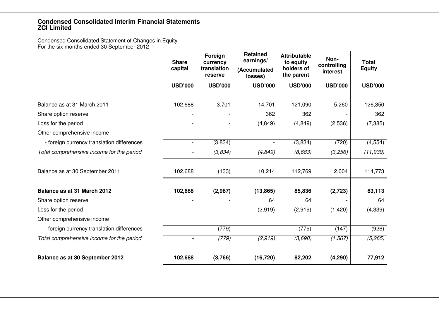Condensed Consolidated Statement of Changes in Equity For the six months ended 30 September 2012

|                                            | <b>Share</b><br>capital  | Foreign<br>currency<br>translation<br>reserve | <b>Retained</b><br>earnings/<br>(Accumulated<br>losses) | <b>Attributable</b><br>to equity<br>holders of<br>the parent | Non-<br>controlling<br>interest | <b>Total</b><br><b>Equity</b> |
|--------------------------------------------|--------------------------|-----------------------------------------------|---------------------------------------------------------|--------------------------------------------------------------|---------------------------------|-------------------------------|
|                                            | <b>USD'000</b>           | <b>USD'000</b>                                | <b>USD'000</b>                                          | <b>USD'000</b>                                               | <b>USD'000</b>                  | <b>USD'000</b>                |
| Balance as at 31 March 2011                | 102,688                  | 3,701                                         | 14,701                                                  | 121,090                                                      | 5,260                           | 126,350                       |
| Share option reserve                       |                          |                                               | 362                                                     | 362                                                          |                                 | 362                           |
| Loss for the period                        |                          |                                               | (4, 849)                                                | (4, 849)                                                     | (2,536)                         | (7, 385)                      |
| Other comprehensive income                 |                          |                                               |                                                         |                                                              |                                 |                               |
| - foreign currency translation differences | $\blacksquare$           | (3,834)                                       |                                                         | (3,834)                                                      | (720)                           | (4, 554)                      |
| Total comprehensive income for the period  |                          | (3,834)                                       | (4, 849)                                                | (8,683)                                                      | (3,256)                         | (11, 939)                     |
| Balance as at 30 September 2011            | 102,688                  | (133)                                         | 10,214                                                  | 112,769                                                      | 2,004                           | 114,773                       |
| Balance as at 31 March 2012                | 102,688                  | (2,987)                                       | (13, 865)                                               | 85,836                                                       | (2,723)                         | 83,113                        |
| Share option reserve                       |                          |                                               | 64                                                      | 64                                                           |                                 | 64                            |
| Loss for the period                        |                          |                                               | (2,919)                                                 | (2,919)                                                      | (1,420)                         | (4, 339)                      |
| Other comprehensive income                 |                          |                                               |                                                         |                                                              |                                 |                               |
| - foreign currency translation differences | $\overline{\phantom{a}}$ | (779)                                         |                                                         | (779)                                                        | (147)                           | (926)                         |
| Total comprehensive income for the period  | $\blacksquare$           | (779)                                         | (2, 919)                                                | (3,698)                                                      | (1, 567)                        | (5, 265)                      |
| Balance as at 30 September 2012            | 102,688                  | (3,766)                                       | (16, 720)                                               | 82,202                                                       | (4, 290)                        | 77,912                        |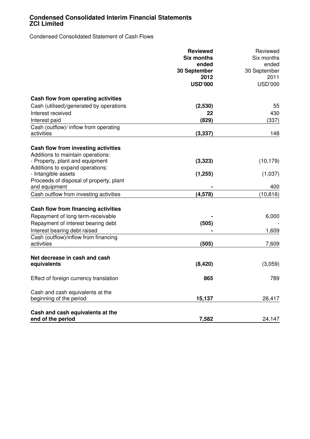Condensed Consolidated Statement of Cash Flows

|                                         | <b>Reviewed</b>   | Reviewed<br>Six months<br>ended<br>30 September |  |
|-----------------------------------------|-------------------|-------------------------------------------------|--|
|                                         | <b>Six months</b> |                                                 |  |
|                                         | ended             |                                                 |  |
|                                         | 30 September      |                                                 |  |
|                                         | 2012              | 2011                                            |  |
|                                         | <b>USD'000</b>    | <b>USD'000</b>                                  |  |
| Cash flow from operating activities     |                   |                                                 |  |
| Cash (utilised)/generated by operations | (2,530)           | 55                                              |  |
| Interest received                       | 22                | 430                                             |  |
| Interest paid                           | (829)             | (337)                                           |  |
| Cash (outflow)/ inflow from operating   |                   |                                                 |  |
| activities                              | (3, 337)          | 148                                             |  |
| Cash flow from investing activities     |                   |                                                 |  |
| Additions to maintain operations:       |                   |                                                 |  |
| - Property, plant and equipment         | (3, 323)          | (10, 179)                                       |  |
| Additions to expand operations:         |                   |                                                 |  |
| - Intangible assets                     | (1, 255)          | (1,037)                                         |  |
| Proceeds of disposal of property, plant |                   |                                                 |  |
| and equipment                           |                   | 400                                             |  |
| Cash outflow from investing activities  | (4, 578)          | (10, 816)                                       |  |
| Cash flow from financing activities     |                   |                                                 |  |
| Repayment of long term-receivable       |                   | 6,000                                           |  |
| Repayment of interest bearing debt      | (505)             |                                                 |  |
| Interest bearing debt raised            |                   | 1,609                                           |  |
| Cash (outflow)/inflow from financing    |                   |                                                 |  |
| activities                              | (505)             | 7,609                                           |  |
| Net decrease in cash and cash           |                   |                                                 |  |
| equivalents                             | (8,420)           | (3,059)                                         |  |
|                                         |                   |                                                 |  |
| Effect of foreign currency translation  | 865               | 789                                             |  |
| Cash and cash equivalents at the        |                   |                                                 |  |
| beginning of the period                 | 15,137            | 26,417                                          |  |
| Cash and cash equivalents at the        |                   |                                                 |  |
| end of the period                       | 7,582             | 24,147                                          |  |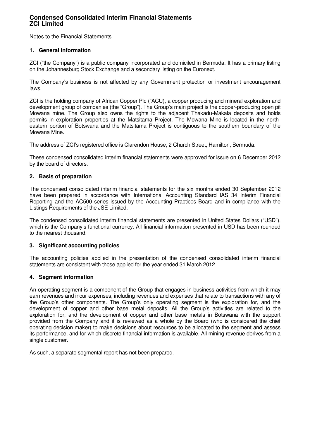Notes to the Financial Statements

## **1. General information**

ZCI ("the Company") is a public company incorporated and domiciled in Bermuda. It has a primary listing on the Johannesburg Stock Exchange and a secondary listing on the Euronext.

The Company's business is not affected by any Government protection or investment encouragement laws.

ZCI is the holding company of African Copper Plc ("ACU), a copper producing and mineral exploration and development group of companies (the "Group"). The Group's main project is the copper-producing open pit Mowana mine. The Group also owns the rights to the adjacent Thakadu-Makala deposits and holds permits in exploration properties at the Matsitama Project. The Mowana Mine is located in the northeastern portion of Botswana and the Matsitama Project is contiguous to the southern boundary of the Mowana Mine.

The address of ZCI's registered office is Clarendon House, 2 Church Street, Hamilton, Bermuda.

These condensed consolidated interim financial statements were approved for issue on 6 December 2012 by the board of directors.

### **2. Basis of preparation**

The condensed consolidated interim financial statements for the six months ended 30 September 2012 have been prepared in accordance with International Accounting Standard IAS 34 Interim Financial Reporting and the AC500 series issued by the Accounting Practices Board and in compliance with the Listings Requirements of the JSE Limited.

The condensed consolidated interim financial statements are presented in United States Dollars ("USD"), which is the Company's functional currency. All financial information presented in USD has been rounded to the nearest thousand.

#### **3. Significant accounting policies**

The accounting policies applied in the presentation of the condensed consolidated interim financial statements are consistent with those applied for the year ended 31 March 2012.

#### **4. Segment information**

An operating segment is a component of the Group that engages in business activities from which it may earn revenues and incur expenses, including revenues and expenses that relate to transactions with any of the Group's other components. The Group's only operating segment is the exploration for, and the development of copper and other base metal deposits. All the Group's activities are related to the exploration for, and the development of copper and other base metals in Botswana with the support provided from the Company and it is reviewed as a whole by the Board (who is considered the chief operating decision maker) to make decisions about resources to be allocated to the segment and assess its performance, and for which discrete financial information is available. All mining revenue derives from a single customer.

As such, a separate segmental report has not been prepared.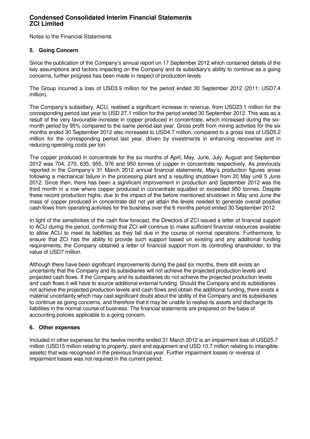Notes to the Financial Statements

## **5. Going Concern**

Since the publication of the Company's annual report on 17 September 2012 which contained details of the key assumptions and factors impacting on the Company and its subsidiary's ability to continue as a going concerns, further progress has been made in respect of production levels.

The Group incurred a loss of USD3.9 million for the period ended 30 September 2012 (2011: USD7.4 million).

The Company's subsidiary, ACU, realised a significant increase in revenue, from USD23.1 million for the corresponding period last year to USD 27.1 million for the period ended 30 September 2012. This was as a result of the very favourable increase in copper produced in concentrate, which increased during the sixmonth period by 95% compared to the same period last year. Gross profit from mining activities for the six months ended 30 September 2012 also increased to USD4.7 million, compared to a gross loss of USD5.2 million for the corresponding period last year, driven by investments in enhancing recoveries and in reducing operating costs per ton.

The copper produced in concentrate for the six months of April, May, June, July, August and September 2012 was 704, 270, 635, 955, 976 and 950 tonnes of copper in concentrate respectively. As previously reported in the Company's 31 March 2012 annual financial statements, May's production figures arose following a mechanical failure in the processing plant and a resulting shutdown from 20 May until 5 June 2012. Since then, there has been a significant improvement in production and September 2012 was the third month in a row where copper produced in concentrate equalled or exceeded 950 tonnes. Despite these record production highs, due to the impact of the before mentioned shutdown in May and June the mass of copper produced in concentrate did not yet attain the levels needed to generate overall positive cash flows from operating activities for the business over the 6 months period ended 30 September 2012.

In light of the sensitivities of the cash flow forecast, the Directors of ZCI issued a letter of financial support to ACU during the period, confirming that ZCI will continue to make sufficient financial resources available to allow ACU to meet its liabilities as they fall due in the course of normal operations. Furthermore, to ensure that ZCI has the ability to provide such support based on existing and any additional funding requirements, the Company obtained a letter of financial support from its controlling shareholder, to the value of USD7 million.

Although there have been significant improvements during the past six months, there still exists an uncertainty that the Company and its subsidiaries will not achieve the projected production levels and projected cash flows. If the Company and its subsidiaries do not achieve the projected production levels and cash flows it will have to source additional external funding. Should the Company and its subsidiaries not achieve the projected production levels and cash flows and obtain the additional funding, there exists a material uncertainty which may cast significant doubt about the ability of the Company and its subsidiaries to continue as going concerns, and therefore that it may be unable to realise its assets and discharge its liabilities in the normal course of business. The financial statements are prepared on the basis of accounting policies applicable to a going concern.

## **6. Other expenses**

Included in other expenses for the twelve months ended 31 March 2012 is an impairment loss of USD25.7 million (USD15 million relating to property, plant and equipment and USD 10.7 million relating to intangible assets) that was recognised in the previous financial year. Further impairment losses or reversal of impairment losses was not required in the current period.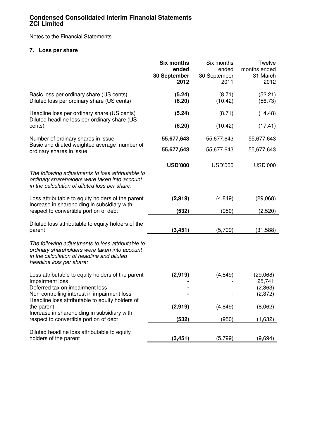Notes to the Financial Statements

## **7. Loss per share**

|                                                                                                                                                                              | <b>Six months</b><br>ended<br>30 September<br>2012 | Six months<br>ended<br>30 September<br>2011 | Twelve<br>months ended<br>31 March<br>2012 |
|------------------------------------------------------------------------------------------------------------------------------------------------------------------------------|----------------------------------------------------|---------------------------------------------|--------------------------------------------|
| Basic loss per ordinary share (US cents)<br>Diluted loss per ordinary share (US cents)                                                                                       | (5.24)<br>(6.20)                                   | (8.71)<br>(10.42)                           | (52.21)<br>(56.73)                         |
| Headline loss per ordinary share (US cents)<br>Diluted headline loss per ordinary share (US                                                                                  | (5.24)                                             | (8.71)                                      | (14.48)                                    |
| cents)                                                                                                                                                                       | (6.20)                                             | (10.42)                                     | (17.41)                                    |
| Number of ordinary shares in issue<br>Basic and diluted weighted average number of                                                                                           | 55,677,643                                         | 55,677,643                                  | 55,677,643                                 |
| ordinary shares in issue                                                                                                                                                     | 55,677,643                                         | 55,677,643                                  | 55,677,643                                 |
| The following adjustments to loss attributable to<br>ordinary shareholders were taken into account<br>in the calculation of diluted loss per share:                          | <b>USD'000</b>                                     | <b>USD'000</b>                              | <b>USD'000</b>                             |
| Loss attributable to equity holders of the parent<br>Increase in shareholding in subsidiary with                                                                             | (2,919)                                            | (4, 849)                                    | (29,068)                                   |
| respect to convertible portion of debt                                                                                                                                       | (532)                                              | (950)                                       | (2,520)                                    |
| Diluted loss attributable to equity holders of the<br>parent                                                                                                                 | (3, 451)                                           | (5,799)                                     | (31, 588)                                  |
| The following adjustments to loss attributable to<br>ordinary shareholders were taken into account<br>in the calculation of headline and diluted<br>headline loss per share: |                                                    |                                             |                                            |
| Loss attributable to equity holders of the parent<br>Impairment loss                                                                                                         | (2,919)                                            | (4, 849)                                    | (29,068)<br>25,741                         |
| Deferred tax on impairment loss<br>Non-controlling interest in impairment loss                                                                                               |                                                    |                                             | (2, 363)<br>(2, 372)                       |
| Headline loss attributable to equity holders of<br>the parent<br>Increase in shareholding in subsidiary with                                                                 | (2,919)                                            | (4, 849)                                    | (8,062)                                    |
| respect to convertible portion of debt                                                                                                                                       | (532)                                              | (950)                                       | (1,632)                                    |
| Diluted headline loss attributable to equity<br>holders of the parent                                                                                                        | (3, 451)                                           | (5,799)                                     | (9,694)                                    |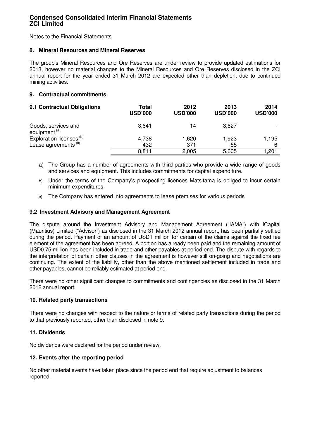Notes to the Financial Statements

#### **8. Mineral Resources and Mineral Reserves**

The group's Mineral Resources and Ore Reserves are under review to provide updated estimations for 2013, however no material changes to the Mineral Resources and Ore Reserves disclosed in the ZCI annual report for the year ended 31 March 2012 are expected other than depletion, due to continued mining activities.

## **9. Contractual commitments**

| 9.1 Contractual Obligations                     | Total<br><b>USD'000</b> | 2012<br><b>USD'000</b> | 2013<br><b>USD'000</b> | 2014<br><b>USD'000</b> |
|-------------------------------------------------|-------------------------|------------------------|------------------------|------------------------|
| Goods, services and<br>equipment <sup>(a)</sup> | 3,641                   | 14                     | 3,627                  |                        |
| Exploration licenses <sup>(b)</sup>             | 4,738                   | 1,620                  | 1,923                  | 1,195                  |
| Lease agreements <sup>(c)</sup>                 | 432                     | 371                    | 55                     | 6                      |
|                                                 | 8,811                   | 2,005                  | 5,605                  | 201.                   |

- a) The Group has a number of agreements with third parties who provide a wide range of goods and services and equipment. This includes commitments for capital expenditure.
- b) Under the terms of the Company's prospecting licences Matsitama is obliged to incur certain minimum expenditures.
- c) The Company has entered into agreements to lease premises for various periods

### **9.2 Investment Advisory and Management Agreement**

The dispute around the Investment Advisory and Management Agreement ("IAMA") with iCapital (Mauritius) Limited ("Advisor") as disclosed in the 31 March 2012 annual report, has been partially settled during the period. Payment of an amount of USD1 million for certain of the claims against the fixed fee element of the agreement has been agreed. A portion has already been paid and the remaining amount of USD0.75 million has been included in trade and other payables at period end. The dispute with regards to the interpretation of certain other clauses in the agreement is however still on-going and negotiations are continuing. The extent of the liability, other than the above mentioned settlement included in trade and other payables, cannot be reliably estimated at period end.

There were no other significant changes to commitments and contingencies as disclosed in the 31 March 2012 annual report.

#### **10. Related party transactions**

There were no changes with respect to the nature or terms of related party transactions during the period to that previously reported, other than disclosed in note 9.

#### **11. Dividends**

No dividends were declared for the period under review.

## **12. Events after the reporting period**

No other material events have taken place since the period end that require adjustment to balances reported.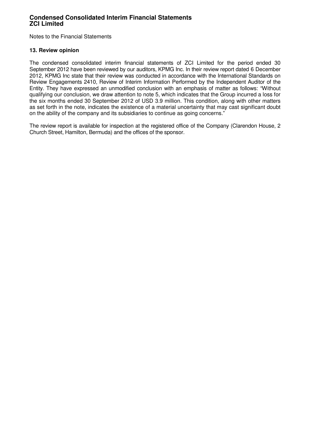Notes to the Financial Statements

### **13. Review opinion**

The condensed consolidated interim financial statements of ZCI Limited for the period ended 30 September 2012 have been reviewed by our auditors, KPMG Inc. In their review report dated 6 December 2012, KPMG Inc state that their review was conducted in accordance with the International Standards on Review Engagements 2410, Review of Interim Information Performed by the Independent Auditor of the Entity. They have expressed an unmodified conclusion with an emphasis of matter as follows: "Without qualifying our conclusion, we draw attention to note 5, which indicates that the Group incurred a loss for the six months ended 30 September 2012 of USD 3.9 million. This condition, along with other matters as set forth in the note, indicates the existence of a material uncertainty that may cast significant doubt on the ability of the company and its subsidiaries to continue as going concerns."

The review report is available for inspection at the registered office of the Company (Clarendon House, 2 Church Street, Hamilton, Bermuda) and the offices of the sponsor.